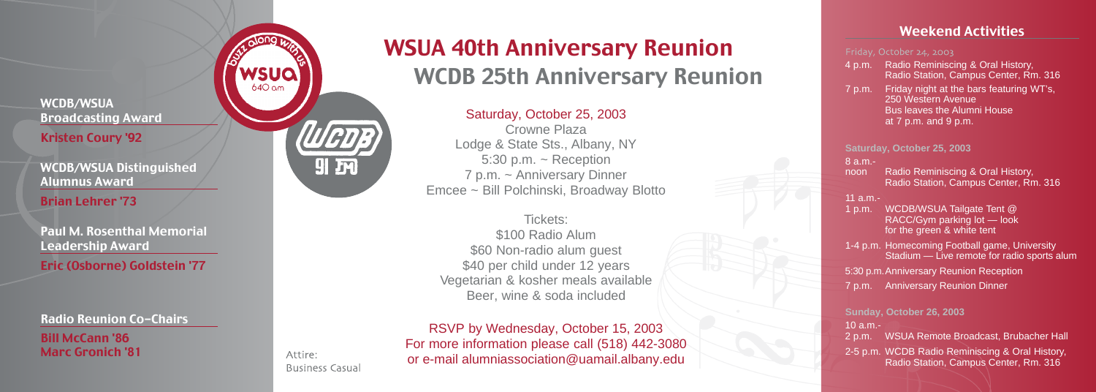WCDB/WSUA Broadcasting Award Kristen Coury '92

WCDB/WSUA Distinguished Alumnus Award

Brian Lehrer '73

Paul M. Rosenthal Memorial Leadership Award

Eric (Osborne) Goldstein '77

Radio Reunion Co-Chairs

Bill McCann '86 Marc Gronich '81



Attire:

**Business Casual** 

# WSUA 40th Anniversary Reunion WCDB 25th Anniversary Reunion

Saturday, October 25, 2003

Crowne Plaza Lodge & State Sts., Albany, NY 5:30 p.m.  $\sim$  Reception 7 p.m. ~ Anniversary Dinner Emcee ~ Bill Polchinski, Broadway Blotto

Tickets: \$100 Radio Alum \$60 Non-radio alum quest \$40 per child under 12 years Vegetarian & kosher meals available Beer, wine & soda included

RSVP by Wednesday, October 15, 2003 For more information please call (518) 442-3080 or e-mail alumniassociation@uamail.albany.edu

## Weekend Activities

#### Friday, October 24, 2003

- 4 p.m. Radio Reminiscing & Oral History , Radio Station, Campus Center, Rm. 316
- 7 p.m. Friday night at the bars featuring WT's, 250 Western Avenue **Bus leaves the Alumni House** at 7 p.m. and 9 p.m.

**Saturday, October 25, 2003**

8 a.m.-

noon Radio Reminiscing & Oral History, Radio Station, Campus Center, Rm. 316

#### 11 a.m.-

1 p.m. WCDB/WSUA Tailgate Tent @ RACC/Gym parking lot — look for the green & white tent 1-4 p.m. Homecoming Football game, University Stadium — Live remote for radio sports alum 5:30 p.m.Anniversary Reunion Reception 7 p.m. Anniversary Reunion Dinner

**Sunday, October 26, 2003** 10 a.m.- 2 p.m. WSUA Remote Broadcast, Brubacher Hall 2-5 p.m. WCDB Radio Reminiscing & Oral History , Radio Station, Campus Center, Rm. 316